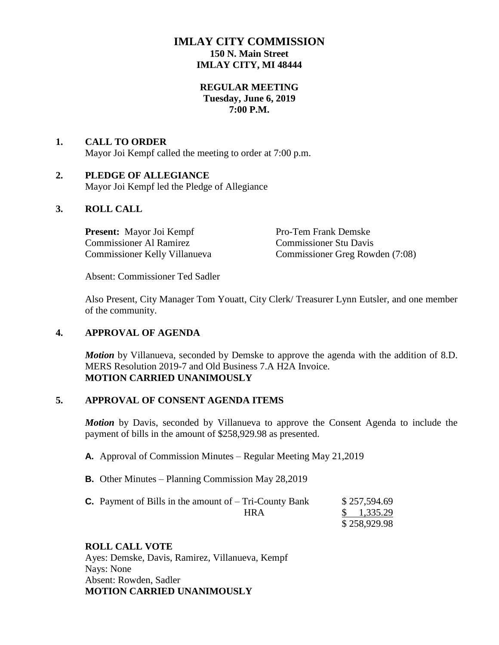# **IMLAY CITY COMMISSION 150 N. Main Street IMLAY CITY, MI 48444**

## **REGULAR MEETING Tuesday, June 6, 2019 7:00 P.M.**

# **1. CALL TO ORDER** Mayor Joi Kempf called the meeting to order at 7:00 p.m.

# **2. PLEDGE OF ALLEGIANCE**

Mayor Joi Kempf led the Pledge of Allegiance

# **3. ROLL CALL**

**Present:** Mayor Joi Kempf Pro-Tem Frank Demske Commissioner Al Ramirez Commissioner Stu Davis

Commissioner Kelly Villanueva Commissioner Greg Rowden (7:08)

Absent: Commissioner Ted Sadler

Also Present, City Manager Tom Youatt, City Clerk/ Treasurer Lynn Eutsler, and one member of the community.

# **4. APPROVAL OF AGENDA**

*Motion* by Villanueva, seconded by Demske to approve the agenda with the addition of 8.D. MERS Resolution 2019-7 and Old Business 7.A H2A Invoice. **MOTION CARRIED UNANIMOUSLY**

# **5. APPROVAL OF CONSENT AGENDA ITEMS**

*Motion* by Davis, seconded by Villanueva to approve the Consent Agenda to include the payment of bills in the amount of \$258,929.98 as presented.

- **A.** Approval of Commission Minutes Regular Meeting May 21,2019
- **B.** Other Minutes Planning Commission May 28,2019

| <b>C.</b> Payment of Bills in the amount of $-$ Tri-County Bank | \$257,594.69         |
|-----------------------------------------------------------------|----------------------|
| HRA                                                             | $\frac{1,335.29}{ }$ |
|                                                                 | \$258,929.98         |

# **ROLL CALL VOTE**

Ayes: Demske, Davis, Ramirez, Villanueva, Kempf Nays: None Absent: Rowden, Sadler **MOTION CARRIED UNANIMOUSLY**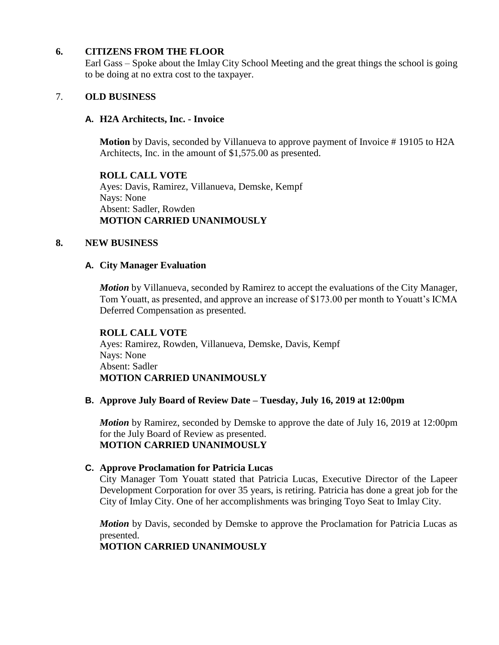# **6. CITIZENS FROM THE FLOOR**

Earl Gass – Spoke about the Imlay City School Meeting and the great things the school is going to be doing at no extra cost to the taxpayer.

### 7. **OLD BUSINESS**

### **A. H2A Architects, Inc. - Invoice**

**Motion** by Davis, seconded by Villanueva to approve payment of Invoice # 19105 to H2A Architects, Inc. in the amount of \$1,575.00 as presented.

**ROLL CALL VOTE** Ayes: Davis, Ramirez, Villanueva, Demske, Kempf Nays: None Absent: Sadler, Rowden **MOTION CARRIED UNANIMOUSLY**

### **8. NEW BUSINESS**

#### **A. City Manager Evaluation**

*Motion* by Villanueva, seconded by Ramirez to accept the evaluations of the City Manager, Tom Youatt, as presented, and approve an increase of \$173.00 per month to Youatt's ICMA Deferred Compensation as presented.

#### **ROLL CALL VOTE**

Ayes: Ramirez, Rowden, Villanueva, Demske, Davis, Kempf Nays: None Absent: Sadler **MOTION CARRIED UNANIMOUSLY**

### **B. Approve July Board of Review Date – Tuesday, July 16, 2019 at 12:00pm**

*Motion* by Ramirez, seconded by Demske to approve the date of July 16, 2019 at 12:00pm for the July Board of Review as presented. **MOTION CARRIED UNANIMOUSLY**

### **C. Approve Proclamation for Patricia Lucas**

City Manager Tom Youatt stated that Patricia Lucas, Executive Director of the Lapeer Development Corporation for over 35 years, is retiring. Patricia has done a great job for the City of Imlay City. One of her accomplishments was bringing Toyo Seat to Imlay City.

*Motion* by Davis, seconded by Demske to approve the Proclamation for Patricia Lucas as presented.

# **MOTION CARRIED UNANIMOUSLY**